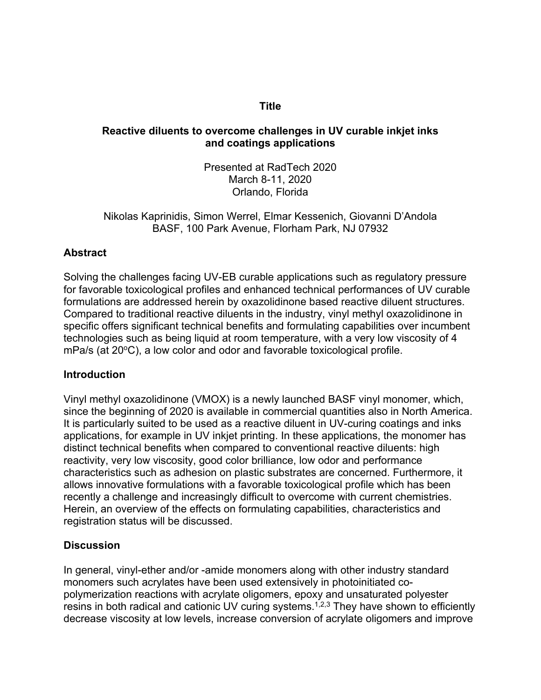#### **Title**

#### **Reactive diluents to overcome challenges in UV curable inkjet inks and coatings applications**

Presented at RadTech 2020 March 8-11, 2020 Orlando, Florida

Nikolas Kaprinidis, Simon Werrel, Elmar Kessenich, Giovanni D'Andola BASF, 100 Park Avenue, Florham Park, NJ 07932

## **Abstract**

Solving the challenges facing UV-EB curable applications such as regulatory pressure for favorable toxicological profiles and enhanced technical performances of UV curable formulations are addressed herein by oxazolidinone based reactive diluent structures. Compared to traditional reactive diluents in the industry, vinyl methyl oxazolidinone in specific offers significant technical benefits and formulating capabilities over incumbent technologies such as being liquid at room temperature, with a very low viscosity of 4  $mPa/s$  (at  $20°C$ ), a low color and odor and favorable toxicological profile.

## **Introduction**

Vinyl methyl oxazolidinone (VMOX) is a newly launched BASF vinyl monomer, which, since the beginning of 2020 is available in commercial quantities also in North America. It is particularly suited to be used as a reactive diluent in UV-curing coatings and inks applications, for example in UV inkjet printing. In these applications, the monomer has distinct technical benefits when compared to conventional reactive diluents: high reactivity, very low viscosity, good color brilliance, low odor and performance characteristics such as adhesion on plastic substrates are concerned. Furthermore, it allows innovative formulations with a favorable toxicological profile which has been recently a challenge and increasingly difficult to overcome with current chemistries. Herein, an overview of the effects on formulating capabilities, characteristics and registration status will be discussed.

## **Discussion**

In general, vinyl-ether and/or -amide monomers along with other industry standard monomers such acrylates have been used extensively in photoinitiated copolymerization reactions with acrylate oligomers, epoxy and unsaturated polyester resins in both radical and cationic UV curing systems.1,2,3 They have shown to efficiently decrease viscosity at low levels, increase conversion of acrylate oligomers and improve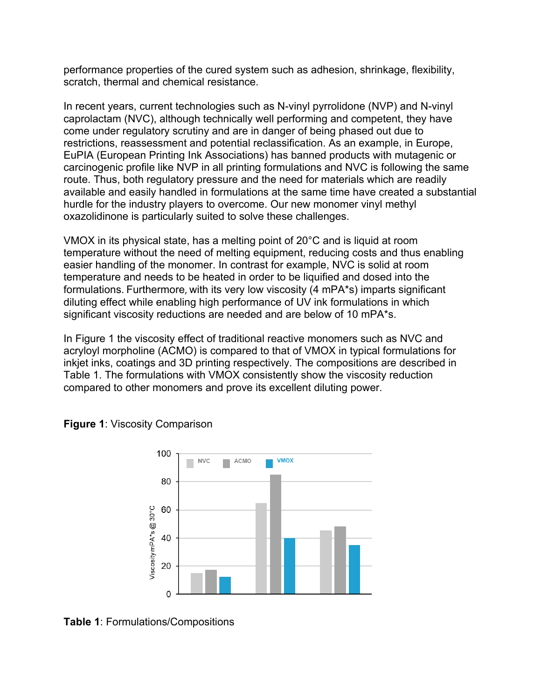performance properties of the cured system such as adhesion, shrinkage, flexibility, scratch, thermal and chemical resistance.

In recent years, current technologies such as N-vinyl pyrrolidone (NVP) and N-vinyl caprolactam (NVC), although technically well performing and competent, they have come under regulatory scrutiny and are in danger of being phased out due to restrictions, reassessment and potential reclassification. As an example, in Europe, EuPIA (European Printing Ink Associations) has banned products with mutagenic or carcinogenic profile like NVP in all printing formulations and NVC is following the same route. Thus, both regulatory pressure and the need for materials which are readily available and easily handled in formulations at the same time have created a substantial hurdle for the industry players to overcome. Our new monomer vinyl methyl oxazolidinone is particularly suited to solve these challenges.

VMOX in its physical state, has a melting point of 20°C and is liquid at room temperature without the need of melting equipment, reducing costs and thus enabling easier handling of the monomer. In contrast for example, NVC is solid at room temperature and needs to be heated in order to be liquified and dosed into the formulations. Furthermore, with its very low viscosity (4 mPA\*s) imparts significant diluting effect while enabling high performance of UV ink formulations in which significant viscosity reductions are needed and are below of 10 mPA\*s.

In Figure 1 the viscosity effect of traditional reactive monomers such as NVC and acryloyl morpholine (ACMO) is compared to that of VMOX in typical formulations for inkjet inks, coatings and 3D printing respectively. The compositions are described in Table 1. The formulations with VMOX consistently show the viscosity reduction compared to other monomers and prove its excellent diluting power.



**Figure 1**: Viscosity Comparison

**Table 1**: Formulations/Compositions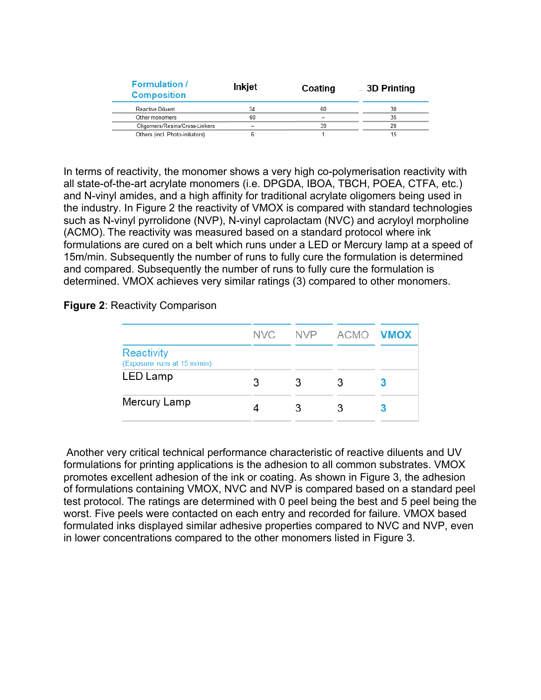| <b>Formulation</b> /<br><b>Composition</b> | Inkjet | Coating | <b>3D Printing</b> |  |
|--------------------------------------------|--------|---------|--------------------|--|
| Reactive Diluent                           | 34     | 60      | 30                 |  |
| Other monomers                             | 60     |         | 35                 |  |
| Oligomers/Resins/Cross-Linkers             |        | 39      | 20                 |  |
| Others (incl. Photo-Initiators)            |        |         | 15                 |  |

In terms of reactivity, the monomer shows a very high co-polymerisation reactivity with all state-of-the-art acrylate monomers (i.e. DPGDA, IBOA, TBCH, POEA, CTFA, etc.) and N-vinyl amides, and a high affinity for traditional acrylate oligomers being used in the industry. In Figure 2 the reactivity of VMOX is compared with standard technologies such as N-vinyl pyrrolidone (NVP), N-vinyl caprolactam (NVC) and acryloyl morpholine (ACMO). The reactivity was measured based on a standard protocol where ink formulations are cured on a belt which runs under a LED or Mercury lamp at a speed of 15m/min. Subsequently the number of runs to fully cure the formulation is determined and compared. Subsequently the number of runs to fully cure the formulation is determined. VMOX achieves very similar ratings (3) compared to other monomers.

#### **Figure 2**: Reactivity Comparison

|                                                  | NVC. |   | NVP ACMO VMOX |  |
|--------------------------------------------------|------|---|---------------|--|
| <b>Reactivity</b><br>(Exposure runs at 15 m/min) |      |   |               |  |
| LED Lamp                                         | З    | 3 | З             |  |
| Mercury Lamp                                     |      |   |               |  |

Another very critical technical performance characteristic of reactive diluents and UV formulations for printing applications is the adhesion to all common substrates. VMOX promotes excellent adhesion of the ink or coating. As shown in Figure 3, the adhesion of formulations containing VMOX, NVC and NVP is compared based on a standard peel test protocol. The ratings are determined with 0 peel being the best and 5 peel being the worst. Five peels were contacted on each entry and recorded for failure. VMOX based formulated inks displayed similar adhesive properties compared to NVC and NVP, even in lower concentrations compared to the other monomers listed in Figure 3.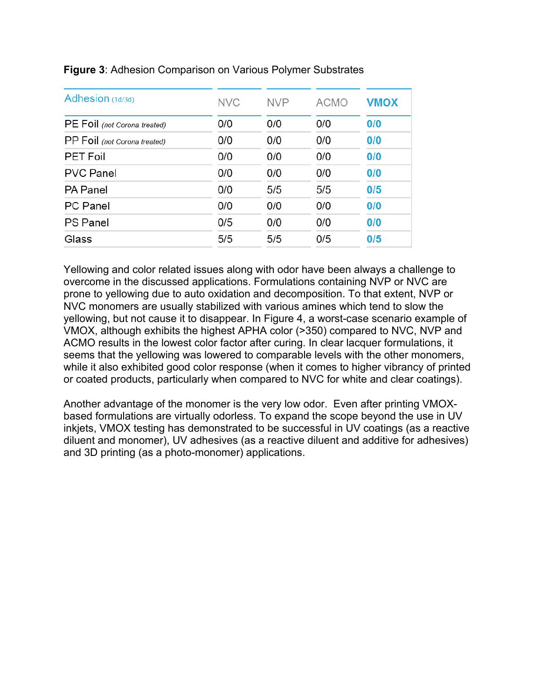| Adhesion (1d/3d)             | <b>NVC</b> | <b>NVP</b> | <b>ACMO</b> | <b>VMOX</b> |
|------------------------------|------------|------------|-------------|-------------|
| PE Foil (not Corona treated) | 0/0        | 0/0        | 0/0         | 0/0         |
| PP Foil (not Corona treated) | 0/0        | 0/0        | 0/0         | 0/0         |
| <b>PET Foil</b>              | 0/0        | 0/0        | 0/0         | 0/0         |
| <b>PVC Panel</b>             | 0/0        | 0/0        | 0/0         | 0/0         |
| <b>PA Panel</b>              | 0/0        | 5/5        | 5/5         | 0/5         |
| <b>PC</b> Panel              | 0/0        | 0/0        | 0/0         | 0/0         |
| <b>PS Panel</b>              | 0/5        | 0/0        | 0/0         | 0/0         |
| Glass                        | 5/5        | 5/5        | 0/5         | 0/5         |

#### **Figure 3**: Adhesion Comparison on Various Polymer Substrates

Yellowing and color related issues along with odor have been always a challenge to overcome in the discussed applications. Formulations containing NVP or NVC are prone to yellowing due to auto oxidation and decomposition. To that extent, NVP or NVC monomers are usually stabilized with various amines which tend to slow the yellowing, but not cause it to disappear. In Figure 4, a worst-case scenario example of VMOX, although exhibits the highest APHA color (>350) compared to NVC, NVP and ACMO results in the lowest color factor after curing. In clear lacquer formulations, it seems that the yellowing was lowered to comparable levels with the other monomers, while it also exhibited good color response (when it comes to higher vibrancy of printed or coated products, particularly when compared to NVC for white and clear coatings).

Another advantage of the monomer is the very low odor. Even after printing VMOXbased formulations are virtually odorless. To expand the scope beyond the use in UV inkjets, VMOX testing has demonstrated to be successful in UV coatings (as a reactive diluent and monomer), UV adhesives (as a reactive diluent and additive for adhesives) and 3D printing (as a photo-monomer) applications.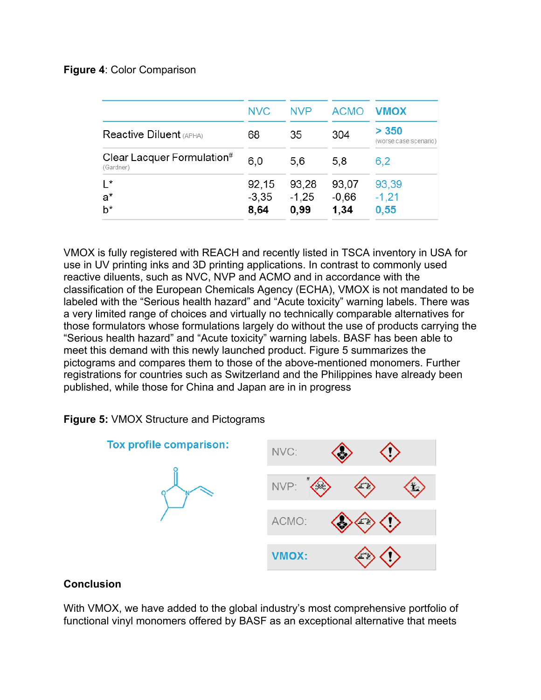## **Figure 4**: Color Comparison

| <b>NVC</b>       | <b>NVP</b>       | <b>ACMO</b>      | <b>VMOX</b>                    |
|------------------|------------------|------------------|--------------------------------|
| 68               | 35               | 304              | > 350<br>(worse case scenario) |
| 6,0              | 5.6              | 5,8              | 6,2                            |
| 92,15<br>$-3,35$ | 93,28<br>$-1,25$ | 93,07<br>$-0,66$ | 93,39<br>$-1,21$<br>0,55       |
|                  | 8,64             | 0,99             | 1,34                           |

VMOX is fully registered with REACH and recently listed in TSCA inventory in USA for use in UV printing inks and 3D printing applications. In contrast to commonly used reactive diluents, such as NVC, NVP and ACMO and in accordance with the classification of the European Chemicals Agency (ECHA), VMOX is not mandated to be labeled with the "Serious health hazard" and "Acute toxicity" warning labels. There was a very limited range of choices and virtually no technically comparable alternatives for those formulators whose formulations largely do without the use of products carrying the "Serious health hazard" and "Acute toxicity" warning labels. BASF has been able to meet this demand with this newly launched product. Figure 5 summarizes the pictograms and compares them to those of the above-mentioned monomers. Further registrations for countries such as Switzerland and the Philippines have already been published, while those for China and Japan are in in progress

# **Figure 5:** VMOX Structure and Pictograms



## **Conclusion**

With VMOX, we have added to the global industry's most comprehensive portfolio of functional vinyl monomers offered by BASF as an exceptional alternative that meets